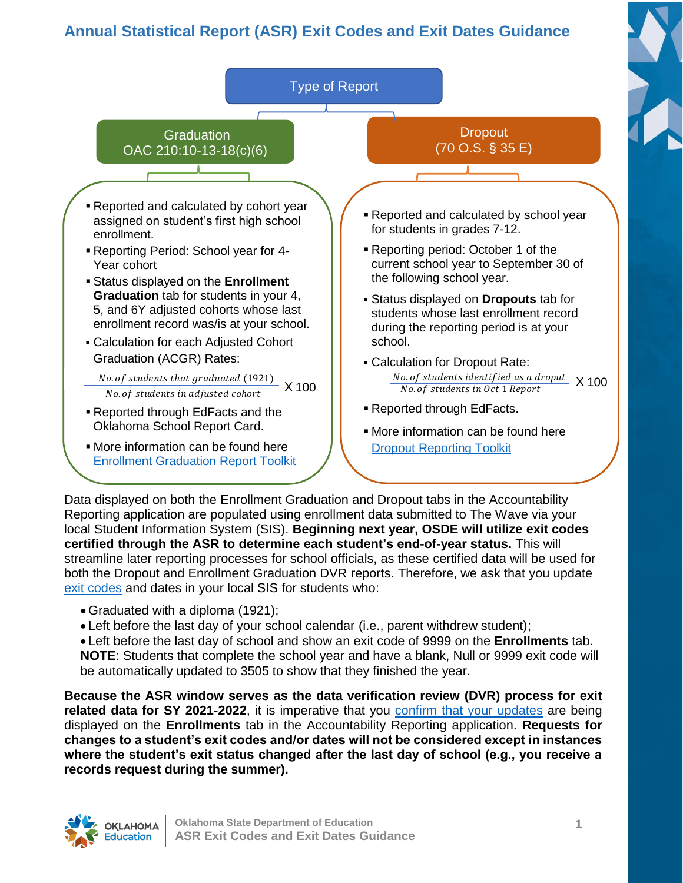### **Annual Statistical Report (ASR) Exit Codes and Exit Dates Guidance**



Data displayed on both the Enrollment Graduation and Dropout tabs in the Accountability Reporting application are populated using enrollment data submitted to The Wave via your local Student Information System (SIS). **Beginning next year, OSDE will utilize exit codes certified through the ASR to determine each student's end-of-year status.** This will streamline later reporting processes for school officials, as these certified data will be used for both the Dropout and Enrollment Graduation DVR reports. Therefore, we ask that you update [exit codes](#page-2-0) and dates in your local SIS for students who:

- Graduated with a diploma (1921);
- Left before the last day of your school calendar (i.e., parent withdrew student);

 Left before the last day of school and show an exit code of 9999 on the **Enrollments** tab. **NOTE**: Students that complete the school year and have a blank, Null or 9999 exit code will be automatically updated to 3505 to show that they finished the year.

**Because the ASR window serves as the data verification review (DVR) process for exit related data for SY 2021-2022**, it is imperative that you [confirm that your updates](#page-1-0) are being displayed on the **Enrollments** tab in the Accountability Reporting application. **Requests for changes to a student's exit codes and/or dates will not be considered except in instances where the student's exit status changed after the last day of school (e.g., you receive a records request during the summer).**

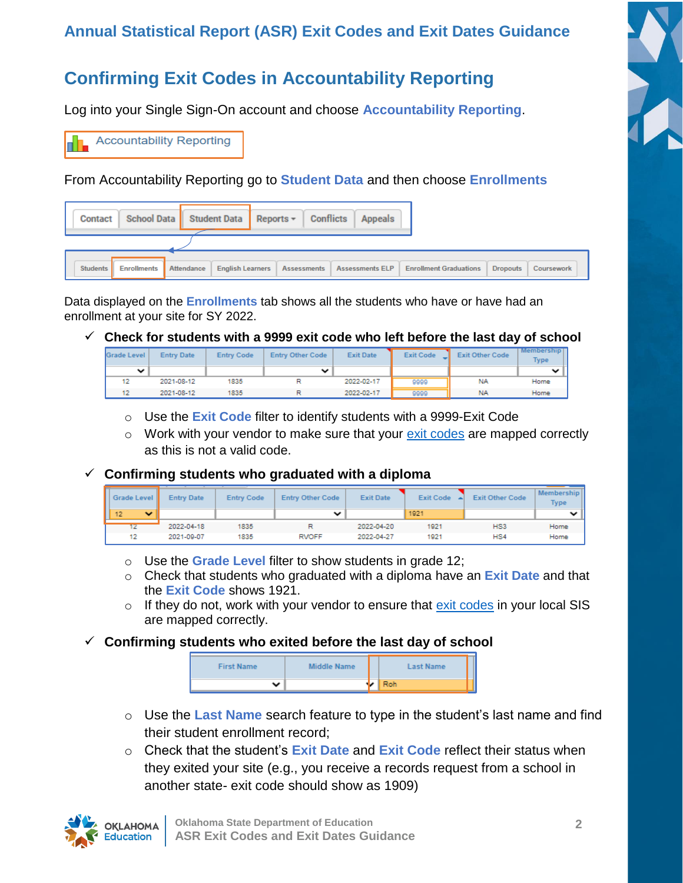### **Annual Statistical Report (ASR) Exit Codes and Exit Dates Guidance**

# <span id="page-1-0"></span>**Confirming Exit Codes in Accountability Reporting**

Log into your Single Sign-On account and choose **Accountability Reporting**.

**Accountability Reporting** 

From Accountability Reporting go to **Student Data** and then choose **Enrollments**

| Contact  |                    |                   | School Data   Student Data   Reports -   Conflicts | <b>Appeals</b>  |                               |                 |            |
|----------|--------------------|-------------------|----------------------------------------------------|-----------------|-------------------------------|-----------------|------------|
|          |                    |                   |                                                    |                 |                               |                 |            |
|          |                    |                   |                                                    |                 |                               |                 |            |
| Students | <b>Enrollments</b> | <b>Attendance</b> | <b>English Learners   Assessments  </b>            | Assessments ELP | <b>Enrollment Graduations</b> | <b>Dropouts</b> | Coursework |

Data displayed on the **Enrollments** tab shows all the students who have or have had an enrollment at your site for SY 2022.

**Check for students with a 9999 exit code who left before the last day of school**

| Grade Level | <b>Entry Date</b> | <b>Entry Code</b> | <b>Entry Other Code</b> | <b>Exit Date</b> | <b>Exit Code</b> | <b>Exit Other Code</b> | Membership I.<br><b>Type</b> |
|-------------|-------------------|-------------------|-------------------------|------------------|------------------|------------------------|------------------------------|
|             |                   |                   |                         |                  |                  |                        |                              |
|             | 2021-08-12        | 1835              |                         | 2022-02-17       | 9999             | <b>NA</b>              | Home                         |
|             | 2021-08-12        | 1835              |                         | 2022-02-17       | 9999             | <b>NA</b>              | Home                         |

- o Use the **Exit Code** filter to identify students with a 9999-Exit Code
- $\circ$  Work with your vendor to make sure that your [exit codes](#page-2-0) are mapped correctly as this is not a valid code.

#### **Confirming students who graduated with a diploma**

| Grade Level        | <b>Entry Date</b> | <b>Entry Code</b> | <b>Entry Other Code</b> | <b>Exit Date</b> | <b>Exit Code</b> | <b>Exit Other Code</b> | Membership<br><b>Type</b> |
|--------------------|-------------------|-------------------|-------------------------|------------------|------------------|------------------------|---------------------------|
| 12<br>$\checkmark$ |                   |                   | ◡                       |                  | 1921             |                        |                           |
| 12                 | 2022-04-18        | 1835              |                         | 2022-04-20       | 1921             | HS3                    | Home                      |
| 12                 | 2021-09-07        | 1835              | <b>RVOFF</b>            | 2022-04-27       | 1921             | HS4                    | Home                      |

- o Use the **Grade Level** filter to show students in grade 12;
- o Check that students who graduated with a diploma have an **Exit Date** and that the **Exit Code** shows 1921.
- $\circ$  If they do not, work with your vendor to ensure that  $\frac{exit \text{ codes}}{}$  in your local SIS are mapped correctly.
- **Confirming students who exited before the last day of school**

| <b>First Name</b> | Middle Name |  | <b>Last Name</b> |  |
|-------------------|-------------|--|------------------|--|
|                   |             |  | Roh              |  |

- o Use the **Last Name** search feature to type in the student's last name and find their student enrollment record;
- o Check that the student's **Exit Date** and **Exit Code** reflect their status when they exited your site (e.g., you receive a records request from a school in another state- exit code should show as 1909)